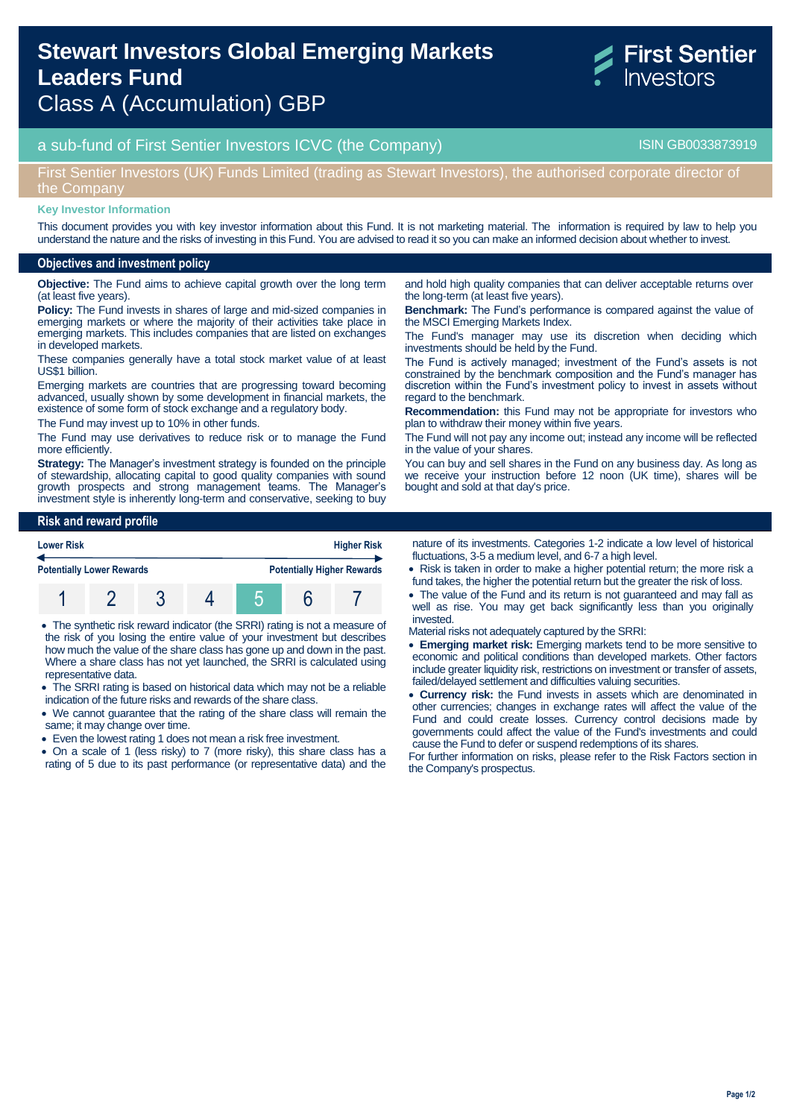# a sub-fund of First Sentier Investors ICVC (the Company) and the Company ISIN GB0033873919

## First Sentier Investors (UK) Funds Limited (trading as Stewart Investors), the authorised corporate director of the Company

#### **Key Investor Information**

This document provides you with key investor information about this Fund. It is not marketing material. The information is required by law to help you understand the nature and the risks of investing in this Fund. You are advised to read it so you can make an informed decision about whether to invest.

#### **Objectives and investment policy**

**Objective:** The Fund aims to achieve capital growth over the long term (at least five years).

**Policy:** The Fund invests in shares of large and mid-sized companies in emerging markets or where the majority of their activities take place in emerging markets. This includes companies that are listed on exchanges in developed markets.

These companies generally have a total stock market value of at least US\$1 billion.

Emerging markets are countries that are progressing toward becoming advanced, usually shown by some development in financial markets, the existence of some form of stock exchange and a regulatory body.

The Fund may invest up to 10% in other funds.

The Fund may use derivatives to reduce risk or to manage the Fund more efficiently.

**Strategy:** The Manager's investment strategy is founded on the principle of stewardship, allocating capital to good quality companies with sound growth prospects and strong management teams. The Manager's investment style is inherently long-term and conservative, seeking to buy

and hold high quality companies that can deliver acceptable returns over the long-term (at least five years).

**Benchmark:** The Fund's performance is compared against the value of the MSCI Emerging Markets Index.

The Fund's manager may use its discretion when deciding which investments should be held by the Fund.

The Fund is actively managed; investment of the Fund's assets is not constrained by the benchmark composition and the Fund's manager has discretion within the Fund's investment policy to invest in assets without regard to the benchmark.

**Recommendation:** this Fund may not be appropriate for investors who plan to withdraw their money within five years.

The Fund will not pay any income out; instead any income will be reflected in the value of your shares.

You can buy and sell shares in the Fund on any business day. As long as we receive your instruction before 12 noon (UK time), shares will be bought and sold at that day's price.

#### **Risk and reward profile**



 The synthetic risk reward indicator (the SRRI) rating is not a measure of the risk of you losing the entire value of your investment but describes how much the value of the share class has gone up and down in the past. Where a share class has not yet launched, the SRRI is calculated using representative data.

- The SRRI rating is based on historical data which may not be a reliable indication of the future risks and rewards of the share class.
- We cannot guarantee that the rating of the share class will remain the same; it may change over time.
- Even the lowest rating 1 does not mean a risk free investment.
- On a scale of 1 (less risky) to 7 (more risky), this share class has a rating of 5 due to its past performance (or representative data) and the

nature of its investments. Categories 1-2 indicate a low level of historical fluctuations, 3-5 a medium level, and 6-7 a high level.

- Risk is taken in order to make a higher potential return; the more risk a fund takes, the higher the potential return but the greater the risk of loss.
- The value of the Fund and its return is not guaranteed and may fall as well as rise. You may get back significantly less than you originally invested.
- Material risks not adequately captured by the SRRI:
- **Emerging market risk:** Emerging markets tend to be more sensitive to economic and political conditions than developed markets. Other factors include greater liquidity risk, restrictions on investment or transfer of assets, failed/delayed settlement and difficulties valuing securities.
- **Currency risk:** the Fund invests in assets which are denominated in other currencies; changes in exchange rates will affect the value of the Fund and could create losses. Currency control decisions made by governments could affect the value of the Fund's investments and could cause the Fund to defer or suspend redemptions of its shares.

For further information on risks, please refer to the Risk Factors section in the Company's prospectus.